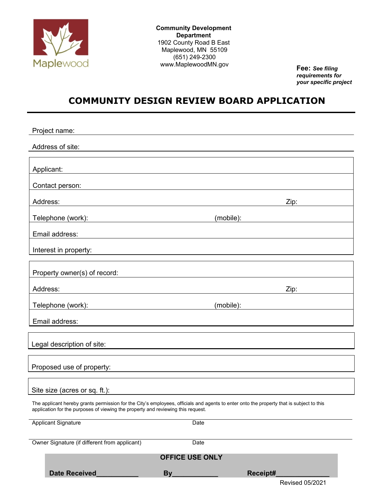

**Community Development Department** 1902 County Road B East Maplewood, MN 55109 (651) 249-2300 www.MaplewoodMN.gov **Fee:** *See filing*

*requirements for your specific project*

Revised 05/2021

# **COMMUNITY DESIGN REVIEW BOARD APPLICATION**

| Project name:                                                                                                                                                                                                                |      |           |  |
|------------------------------------------------------------------------------------------------------------------------------------------------------------------------------------------------------------------------------|------|-----------|--|
| Address of site:                                                                                                                                                                                                             |      |           |  |
|                                                                                                                                                                                                                              |      |           |  |
| Applicant:                                                                                                                                                                                                                   |      |           |  |
| Contact person:                                                                                                                                                                                                              |      |           |  |
| Address:                                                                                                                                                                                                                     |      | Zip:      |  |
| Telephone (work): www.communications.com                                                                                                                                                                                     |      | (mobile): |  |
| Email address:                                                                                                                                                                                                               |      |           |  |
| Interest in property:                                                                                                                                                                                                        |      |           |  |
|                                                                                                                                                                                                                              |      |           |  |
| Property owner(s) of record:                                                                                                                                                                                                 |      |           |  |
| Address:                                                                                                                                                                                                                     |      | Zip:      |  |
| Telephone (work):<br><u> 1989 - Andrea Barbara, politikar politikar (</u>                                                                                                                                                    |      | (mobile): |  |
| Email address:                                                                                                                                                                                                               |      |           |  |
|                                                                                                                                                                                                                              |      |           |  |
| Legal description of site:                                                                                                                                                                                                   |      |           |  |
| Proposed use of property:                                                                                                                                                                                                    |      |           |  |
|                                                                                                                                                                                                                              |      |           |  |
| Site size (acres or sq. ft.):                                                                                                                                                                                                |      |           |  |
| The applicant hereby grants permission for the City's employees, officials and agents to enter onto the property that is subject to this<br>application for the purposes of viewing the property and reviewing this request. |      |           |  |
| <b>Applicant Signature</b>                                                                                                                                                                                                   | Date |           |  |
| Owner Signature (if different from applicant)                                                                                                                                                                                | Date |           |  |
| <b>OFFICE USE ONLY</b>                                                                                                                                                                                                       |      |           |  |
| Date Received                                                                                                                                                                                                                | By   | Receipt#  |  |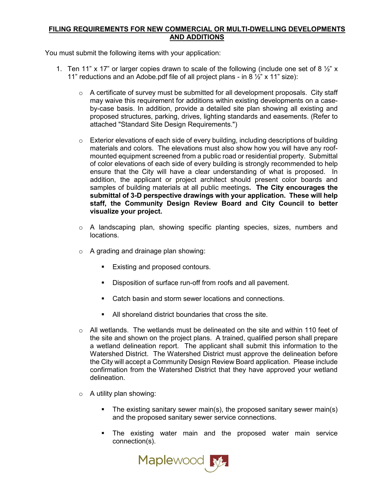## **FILING REQUIREMENTS FOR NEW COMMERCIAL OR MULTI-DWELLING DEVELOPMENTS AND ADDITIONS**

You must submit the following items with your application:

- 1. Ten 11" x 17" or larger copies drawn to scale of the following (include one set of 8  $\frac{1}{2}$ " x 11" reductions and an Adobe.pdf file of all project plans - in 8  $\frac{1}{2}$ " x 11" size):
	- $\circ$  A certificate of survey must be submitted for all development proposals. City staff may waive this requirement for additions within existing developments on a caseby-case basis. In addition, provide a detailed site plan showing all existing and proposed structures, parking, drives, lighting standards and easements. (Refer to attached "Standard Site Design Requirements.")
	- $\circ$  Exterior elevations of each side of every building, including descriptions of building materials and colors. The elevations must also show how you will have any roofmounted equipment screened from a public road or residential property. Submittal of color elevations of each side of every building is strongly recommended to help ensure that the City will have a clear understanding of what is proposed. In addition, the applicant or project architect should present color boards and samples of building materials at all public meetings**. The City encourages the submittal of 3-D perspective drawings with your application. These will help staff, the Community Design Review Board and City Council to better visualize your project.**
	- o A landscaping plan, showing specific planting species, sizes, numbers and locations.
	- o A grading and drainage plan showing:
		- **Existing and proposed contours.**
		- Disposition of surface run-off from roofs and all pavement.
		- Catch basin and storm sewer locations and connections.
		- All shoreland district boundaries that cross the site.
	- $\circ$  All wetlands. The wetlands must be delineated on the site and within 110 feet of the site and shown on the project plans. A trained, qualified person shall prepare a wetland delineation report. The applicant shall submit this information to the Watershed District. The Watershed District must approve the delineation before the City will accept a Community Design Review Board application. Please include confirmation from the Watershed District that they have approved your wetland delineation.
	- $\circ$  A utility plan showing:
		- The existing sanitary sewer main(s), the proposed sanitary sewer main(s) and the proposed sanitary sewer service connections.
		- The existing water main and the proposed water main service connection(s).

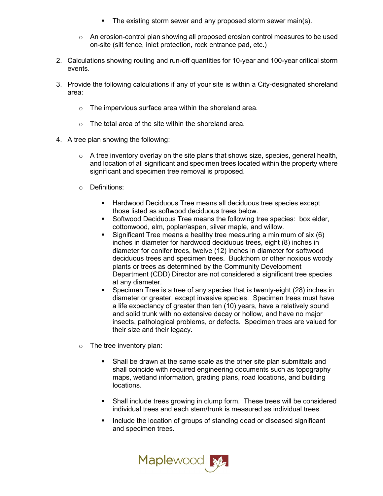- The existing storm sewer and any proposed storm sewer main(s).
- $\circ$  An erosion-control plan showing all proposed erosion control measures to be used on-site (silt fence, inlet protection, rock entrance pad, etc.)
- 2. Calculations showing routing and run-off quantities for 10-year and 100-year critical storm events.
- 3. Provide the following calculations if any of your site is within a City-designated shoreland area:
	- o The impervious surface area within the shoreland area.
	- o The total area of the site within the shoreland area.
- 4. A tree plan showing the following:
	- $\circ$  A tree inventory overlay on the site plans that shows size, species, general health, and location of all significant and specimen trees located within the property where significant and specimen tree removal is proposed.
	- o Definitions:
		- Hardwood Deciduous Tree means all deciduous tree species except those listed as softwood deciduous trees below.
		- **Softwood Deciduous Tree means the following tree species: box elder,** cottonwood, elm, poplar/aspen, silver maple, and willow.
		- Significant Tree means a healthy tree measuring a minimum of six (6) inches in diameter for hardwood deciduous trees, eight (8) inches in diameter for conifer trees, twelve (12) inches in diameter for softwood deciduous trees and specimen trees. Buckthorn or other noxious woody plants or trees as determined by the Community Development Department (CDD) Director are not considered a significant tree species at any diameter.
		- Specimen Tree is a tree of any species that is twenty-eight (28) inches in diameter or greater, except invasive species. Specimen trees must have a life expectancy of greater than ten (10) years, have a relatively sound and solid trunk with no extensive decay or hollow, and have no major insects, pathological problems, or defects. Specimen trees are valued for their size and their legacy.
	- $\circ$  The tree inventory plan:
		- Shall be drawn at the same scale as the other site plan submittals and shall coincide with required engineering documents such as topography maps, wetland information, grading plans, road locations, and building locations.
		- Shall include trees growing in clump form. These trees will be considered individual trees and each stem/trunk is measured as individual trees.
		- Include the location of groups of standing dead or diseased significant and specimen trees.

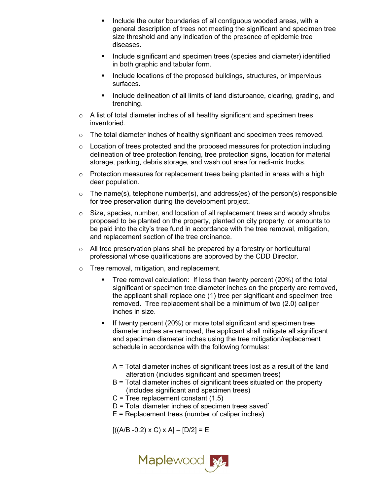- Include the outer boundaries of all contiguous wooded areas, with a general description of trees not meeting the significant and specimen tree size threshold and any indication of the presence of epidemic tree diseases.
- Include significant and specimen trees (species and diameter) identified in both graphic and tabular form.
- Include locations of the proposed buildings, structures, or impervious surfaces.
- Include delineation of all limits of land disturbance, clearing, grading, and trenching.
- $\circ$  A list of total diameter inches of all healthy significant and specimen trees inventoried.
- $\circ$  The total diameter inches of healthy significant and specimen trees removed.
- $\circ$  Location of trees protected and the proposed measures for protection including delineation of tree protection fencing, tree protection signs, location for material storage, parking, debris storage, and wash out area for redi-mix trucks.
- $\circ$  Protection measures for replacement trees being planted in areas with a high deer population.
- $\circ$  The name(s), telephone number(s), and address(es) of the person(s) responsible for tree preservation during the development project.
- $\circ$  Size, species, number, and location of all replacement trees and woody shrubs proposed to be planted on the property, planted on city property, or amounts to be paid into the city's tree fund in accordance with the tree removal, mitigation, and replacement section of the tree ordinance.
- $\circ$  All tree preservation plans shall be prepared by a forestry or horticultural professional whose qualifications are approved by the CDD Director.
- o Tree removal, mitigation, and replacement.
	- Tree removal calculation: If less than twenty percent (20%) of the total significant or specimen tree diameter inches on the property are removed, the applicant shall replace one (1) tree per significant and specimen tree removed. Tree replacement shall be a minimum of two (2.0) caliper inches in size.
	- If twenty percent (20%) or more total significant and specimen tree diameter inches are removed, the applicant shall mitigate all significant and specimen diameter inches using the tree mitigation/replacement schedule in accordance with the following formulas:
		- A = Total diameter inches of significant trees lost as a result of the land alteration (includes significant and specimen trees)
		- B = Total diameter inches of significant trees situated on the property (includes significant and specimen trees)
		- $C$  = Tree replacement constant  $(1.5)$
		- $D = Total diameter$  inches of specimen trees saved\*
		- $E$  = Replacement trees (number of caliper inches)

 $[( (A/B -0.2) \times C) \times A] - [D/2] = E$ 

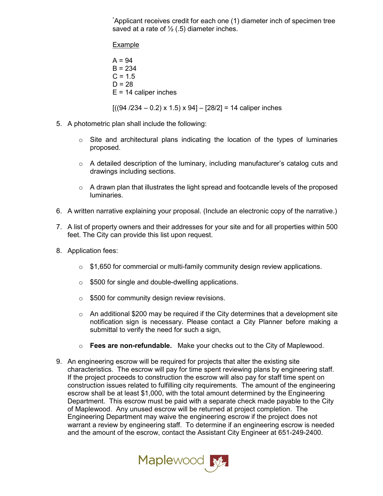\* Applicant receives credit for each one (1) diameter inch of specimen tree saved at a rate of  $\frac{1}{2}$  (.5) diameter inches.

**Example** 

 $A = 94$  $B = 234$  $C = 1.5$  $D = 28$  $E = 14$  caliper inches

 $[(94 / 234 - 0.2) \times 1.5) \times 94] - [28/2] = 14$  caliper inches

- 5. A photometric plan shall include the following:
	- $\circ$  Site and architectural plans indicating the location of the types of luminaries proposed.
	- $\circ$  A detailed description of the luminary, including manufacturer's catalog cuts and drawings including sections.
	- $\circ$  A drawn plan that illustrates the light spread and footcandle levels of the proposed luminaries.
- 6. A written narrative explaining your proposal. (Include an electronic copy of the narrative.)
- 7. A list of property owners and their addresses for your site and for all properties within 500 feet. The City can provide this list upon request.
- 8. Application fees:
	- $\circ$  \$1,650 for commercial or multi-family community design review applications.
	- o \$500 for single and double-dwelling applications.
	- $\circ$  \$500 for community design review revisions.
	- $\circ$  An additional \$200 may be required if the City determines that a development site notification sign is necessary. Please contact a City Planner before making a submittal to verify the need for such a sign,
	- o **Fees are non-refundable.** Make your checks out to the City of Maplewood.
- 9. An engineering escrow will be required for projects that alter the existing site characteristics. The escrow will pay for time spent reviewing plans by engineering staff. If the project proceeds to construction the escrow will also pay for staff time spent on construction issues related to fulfilling city requirements. The amount of the engineering escrow shall be at least \$1,000, with the total amount determined by the Engineering Department. This escrow must be paid with a separate check made payable to the City of Maplewood. Any unused escrow will be returned at project completion. The Engineering Department may waive the engineering escrow if the project does not warrant a review by engineering staff. To determine if an engineering escrow is needed and the amount of the escrow, contact the Assistant City Engineer at 651-249-2400.

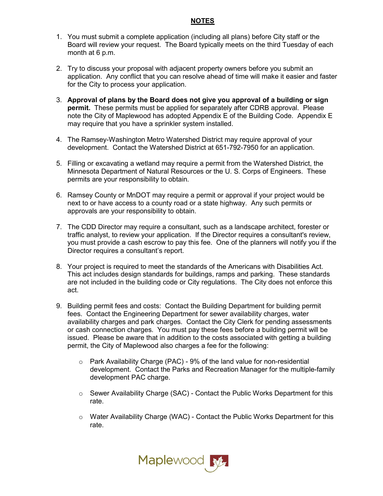## **NOTES**

- 1. You must submit a complete application (including all plans) before City staff or the Board will review your request. The Board typically meets on the third Tuesday of each month at 6 p.m.
- 2. Try to discuss your proposal with adjacent property owners before you submit an application. Any conflict that you can resolve ahead of time will make it easier and faster for the City to process your application.
- 3. **Approval of plans by the Board does not give you approval of a building or sign permit.** These permits must be applied for separately after CDRB approval. Please note the City of Maplewood has adopted Appendix E of the Building Code. Appendix E may require that you have a sprinkler system installed.
- 4. The Ramsey-Washington Metro Watershed District may require approval of your development. Contact the Watershed District at 651-792-7950 for an application.
- 5. Filling or excavating a wetland may require a permit from the Watershed District, the Minnesota Department of Natural Resources or the U. S. Corps of Engineers. These permits are your responsibility to obtain.
- 6. Ramsey County or MnDOT may require a permit or approval if your project would be next to or have access to a county road or a state highway. Any such permits or approvals are your responsibility to obtain.
- 7. The CDD Director may require a consultant, such as a landscape architect, forester or traffic analyst, to review your application. If the Director requires a consultant's review, you must provide a cash escrow to pay this fee. One of the planners will notify you if the Director requires a consultant's report.
- 8. Your project is required to meet the standards of the Americans with Disabilities Act. This act includes design standards for buildings, ramps and parking. These standards are not included in the building code or City regulations. The City does not enforce this act.
- 9. Building permit fees and costs: Contact the Building Department for building permit fees. Contact the Engineering Department for sewer availability charges, water availability charges and park charges. Contact the City Clerk for pending assessments or cash connection charges. You must pay these fees before a building permit will be issued. Please be aware that in addition to the costs associated with getting a building permit, the City of Maplewood also charges a fee for the following:
	- o Park Availability Charge (PAC) 9% of the land value for non-residential development. Contact the Parks and Recreation Manager for the multiple-family development PAC charge.
	- o Sewer Availability Charge (SAC) Contact the Public Works Department for this rate.
	- $\circ$  Water Availability Charge (WAC) Contact the Public Works Department for this rate.

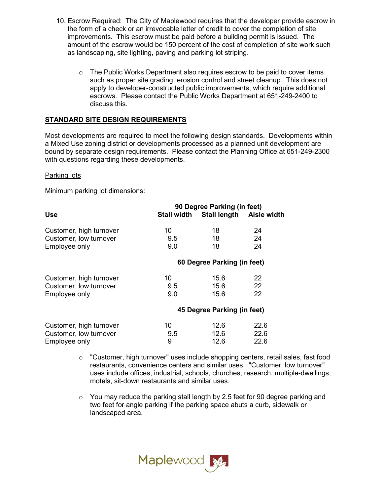- 10. Escrow Required: The City of Maplewood requires that the developer provide escrow in the form of a check or an irrevocable letter of credit to cover the completion of site improvements. This escrow must be paid before a building permit is issued. The amount of the escrow would be 150 percent of the cost of completion of site work such as landscaping, site lighting, paving and parking lot striping.
	- $\circ$  The Public Works Department also requires escrow to be paid to cover items such as proper site grading, erosion control and street cleanup. This does not apply to developer-constructed public improvements, which require additional escrows. Please contact the Public Works Department at 651-249-2400 to discuss this.

# **STANDARD SITE DESIGN REQUIREMENTS**

Most developments are required to meet the following design standards. Developments within a Mixed Use zoning district or developments processed as a planned unit development are bound by separate design requirements. Please contact the Planning Office at 651-249-2300 with questions regarding these developments.

## Parking lots

Minimum parking lot dimensions:

|                         | 90 Degree Parking (in feet) |                                      |      |
|-------------------------|-----------------------------|--------------------------------------|------|
| <b>Use</b>              |                             | Stall width Stall length Aisle width |      |
| Customer, high turnover | 10                          | 18                                   | 24   |
| Customer, low turnover  | 9.5                         | 18                                   | 24   |
| Employee only           | 9.0                         | 18                                   | 24   |
|                         | 60 Degree Parking (in feet) |                                      |      |
| Customer, high turnover | 10                          | 15.6                                 | 22   |
| Customer, low turnover  | $9.5^{\circ}$               | 15.6                                 | 22   |
| Employee only           | 9.0                         | 15.6                                 | 22   |
|                         | 45 Degree Parking (in feet) |                                      |      |
| Customer, high turnover | 10                          | 12.6                                 | 22.6 |
| Customer, low turnover  | 9.5                         | 12.6                                 | 22.6 |
| Employee only           | 9                           | 12.6                                 | 22.6 |

 $\circ$  "Customer, high turnover" uses include shopping centers, retail sales, fast food restaurants, convenience centers and similar uses. "Customer, low turnover" uses include offices, industrial, schools, churches, research, multiple-dwellings, motels, sit-down restaurants and similar uses.

 $\circ$  You may reduce the parking stall length by 2.5 feet for 90 degree parking and two feet for angle parking if the parking space abuts a curb, sidewalk or landscaped area.

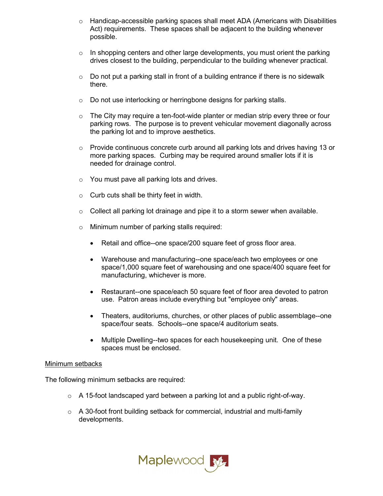- $\circ$  Handicap-accessible parking spaces shall meet ADA (Americans with Disabilities Act) requirements. These spaces shall be adjacent to the building whenever possible.
- $\circ$  In shopping centers and other large developments, you must orient the parking drives closest to the building, perpendicular to the building whenever practical.
- $\circ$  Do not put a parking stall in front of a building entrance if there is no sidewalk there.
- o Do not use interlocking or herringbone designs for parking stalls.
- $\circ$  The City may require a ten-foot-wide planter or median strip every three or four parking rows. The purpose is to prevent vehicular movement diagonally across the parking lot and to improve aesthetics.
- $\circ$  Provide continuous concrete curb around all parking lots and drives having 13 or more parking spaces. Curbing may be required around smaller lots if it is needed for drainage control.
- o You must pave all parking lots and drives.
- $\circ$  Curb cuts shall be thirty feet in width.
- $\circ$  Collect all parking lot drainage and pipe it to a storm sewer when available.
- o Minimum number of parking stalls required:
	- Retail and office--one space/200 square feet of gross floor area.
	- Warehouse and manufacturing--one space/each two employees or one space/1,000 square feet of warehousing and one space/400 square feet for manufacturing, whichever is more.
	- Restaurant--one space/each 50 square feet of floor area devoted to patron use. Patron areas include everything but "employee only" areas.
	- Theaters, auditoriums, churches, or other places of public assemblage--one space/four seats. Schools--one space/4 auditorium seats.
	- Multiple Dwelling--two spaces for each housekeeping unit. One of these spaces must be enclosed.

#### Minimum setbacks

The following minimum setbacks are required:

- $\circ$  A 15-foot landscaped yard between a parking lot and a public right-of-way.
- $\circ$  A 30-foot front building setback for commercial, industrial and multi-family developments.

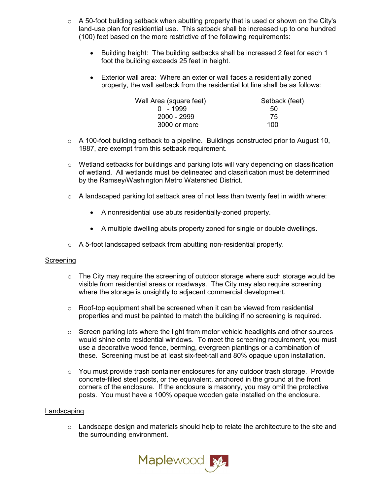- $\circ$  A 50-foot building setback when abutting property that is used or shown on the City's land-use plan for residential use. This setback shall be increased up to one hundred (100) feet based on the more restrictive of the following requirements:
	- Building height: The building setbacks shall be increased 2 feet for each 1 foot the building exceeds 25 feet in height.
	- Exterior wall area: Where an exterior wall faces a residentially zoned property, the wall setback from the residential lot line shall be as follows:

| Wall Area (square feet) | Setback (feet) |
|-------------------------|----------------|
| $0 - 1999$              | 50             |
| 2000 - 2999             | 75             |
| 3000 or more            | 100            |

- $\circ$  A 100-foot building setback to a pipeline. Buildings constructed prior to August 10, 1987, are exempt from this setback requirement.
- $\circ$  Wetland setbacks for buildings and parking lots will vary depending on classification of wetland. All wetlands must be delineated and classification must be determined by the Ramsey/Washington Metro Watershed District.
- o A landscaped parking lot setback area of not less than twenty feet in width where:
	- A nonresidential use abuts residentially-zoned property.
	- A multiple dwelling abuts property zoned for single or double dwellings.
- o A 5-foot landscaped setback from abutting non-residential property.

#### Screening

- $\circ$  The City may require the screening of outdoor storage where such storage would be visible from residential areas or roadways. The City may also require screening where the storage is unsightly to adjacent commercial development.
- $\circ$  Roof-top equipment shall be screened when it can be viewed from residential properties and must be painted to match the building if no screening is required.
- $\circ$  Screen parking lots where the light from motor vehicle headlights and other sources would shine onto residential windows. To meet the screening requirement, you must use a decorative wood fence, berming, evergreen plantings or a combination of these. Screening must be at least six-feet-tall and 80% opaque upon installation.
- $\circ$  You must provide trash container enclosures for any outdoor trash storage. Provide concrete-filled steel posts, or the equivalent, anchored in the ground at the front corners of the enclosure. If the enclosure is masonry, you may omit the protective posts. You must have a 100% opaque wooden gate installed on the enclosure.

#### Landscaping

 $\circ$  Landscape design and materials should help to relate the architecture to the site and the surrounding environment.

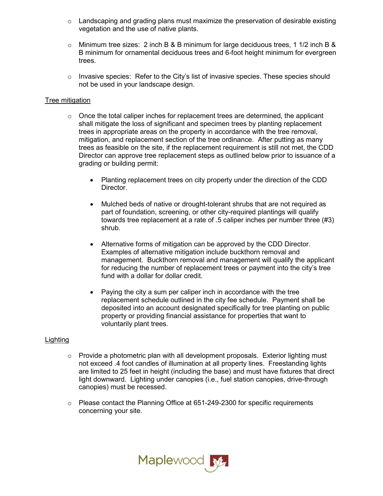- $\circ$  Landscaping and grading plans must maximize the preservation of desirable existing vegetation and the use of native plants.
- $\circ$  Minimum tree sizes: 2 inch B & B minimum for large deciduous trees, 1 1/2 inch B & B minimum for ornamental deciduous trees and 6-foot height minimum for evergreen trees.
- $\circ$  Invasive species: Refer to the City's list of invasive species. These species should not be used in your landscape design.

## Tree mitigation

- $\circ$  Once the total caliper inches for replacement trees are determined, the applicant shall mitigate the loss of significant and specimen trees by planting replacement trees in appropriate areas on the property in accordance with the tree removal, mitigation, and replacement section of the tree ordinance. After putting as many trees as feasible on the site, if the replacement requirement is still not met, the CDD Director can approve tree replacement steps as outlined below prior to issuance of a grading or building permit:
	- Planting replacement trees on city property under the direction of the CDD Director.
	- Mulched beds of native or drought-tolerant shrubs that are not required as part of foundation, screening, or other city-required plantings will qualify towards tree replacement at a rate of .5 caliper inches per number three (#3) shrub.
	- Alternative forms of mitigation can be approved by the CDD Director. Examples of alternative mitigation include buckthorn removal and management. Buckthorn removal and management will qualify the applicant for reducing the number of replacement trees or payment into the city's tree fund with a dollar for dollar credit.
	- Paying the city a sum per caliper inch in accordance with the tree replacement schedule outlined in the city fee schedule. Payment shall be deposited into an account designated specifically for tree planting on public property or providing financial assistance for properties that want to voluntarily plant trees.

#### Lighting

- $\circ$  Provide a photometric plan with all development proposals. Exterior lighting must not exceed .4 foot candles of illumination at all property lines. Freestanding lights are limited to 25 feet in height (including the base) and must have fixtures that direct light downward. Lighting under canopies (i.e., fuel station canopies, drive-through canopies) must be recessed.
- o Please contact the Planning Office at 651-249-2300 for specific requirements concerning your site.